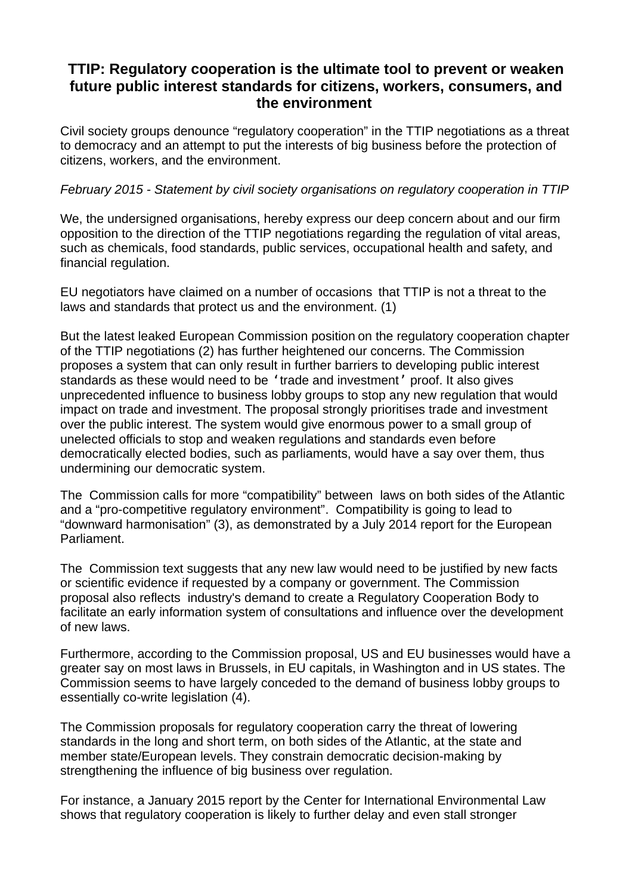## **TTIP: Regulatory cooperation is the ultimate tool to prevent or weaken future public interest standards for citizens, workers, consumers, and the environment**

Civil society groups denounce "regulatory cooperation" in the TTIP negotiations as a threat to democracy and an attempt to put the interests of big business before the protection of citizens, workers, and the environment.

## *February 2015 - Statement by civil society organisations on regulatory cooperation in TTIP*

We, the undersigned organisations, hereby express our deep concern about and our firm opposition to the direction of the TTIP negotiations regarding the regulation of vital areas, such as chemicals, food standards, public services, occupational health and safety, and financial regulation.

EU negotiators have claimed on a number of occasions that TTIP is not a threat to the laws and standards that protect us and the environment. (1)

But the latest leaked European Commission position on the regulatory cooperation chapter of the TTIP negotiations (2) has further heightened our concerns. The Commission proposes a system that can only result in further barriers to developing public interest standards as these would need to be 'trade and investment' proof. It also gives unprecedented influence to business lobby groups to stop any new regulation that would impact on trade and investment. The proposal strongly prioritises trade and investment over the public interest. The system would give enormous power to a small group of unelected officials to stop and weaken regulations and standards even before democratically elected bodies, such as parliaments, would have a say over them, thus undermining our democratic system.

The Commission calls for more "compatibility" between laws on both sides of the Atlantic and a "pro-competitive regulatory environment". Compatibility is going to lead to "downward harmonisation" (3), as demonstrated by a July 2014 report for the European Parliament.

The Commission text suggests that any new law would need to be justified by new facts or scientific evidence if requested by a company or government. The Commission proposal also reflects industry's demand to create a Regulatory Cooperation Body to facilitate an early information system of consultations and influence over the development of new laws.

Furthermore, according to the Commission proposal, US and EU businesses would have a greater say on most laws in Brussels, in EU capitals, in Washington and in US states. The Commission seems to have largely conceded to the demand of business lobby groups to essentially co-write legislation (4).

The Commission proposals for regulatory cooperation carry the threat of lowering standards in the long and short term, on both sides of the Atlantic, at the state and member state/European levels. They constrain democratic decision-making by strengthening the influence of big business over regulation.

For instance, a January 2015 report by the Center for International Environmental Law shows that regulatory cooperation is likely to further delay and even stall stronger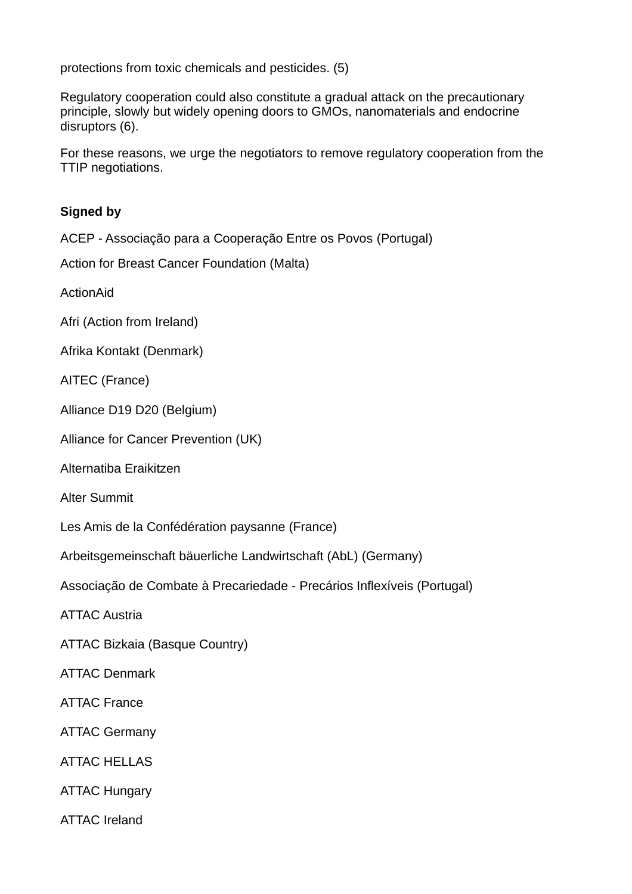protections from toxic chemicals and pesticides. (5)

Regulatory cooperation could also constitute a gradual attack on the precautionary principle, slowly but widely opening doors to GMOs, nanomaterials and endocrine disruptors (6).

For these reasons, we urge the negotiators to remove regulatory cooperation from the TTIP negotiations.

## **Signed by**

ACEP - Associação para a Cooperação Entre os Povos (Portugal)

Action for Breast Cancer Foundation (Malta)

ActionAid

Afri (Action from Ireland)

Afrika Kontakt (Denmark)

AITEC (France)

Alliance D19 D20 (Belgium)

Alliance for Cancer Prevention (UK)

Alternatiba Eraikitzen

Alter Summit

Les Amis de la Confédération paysanne (France)

Arbeitsgemeinschaft bäuerliche Landwirtschaft (AbL) (Germany)

Associação de Combate à Precariedade - Precários Inflexíveis (Portugal)

ATTAC Austria

ATTAC Bizkaia (Basque Country)

ATTAC Denmark

ATTAC France

ATTAC Germany

ATTAC HELLAS

ATTAC Hungary

ATTAC Ireland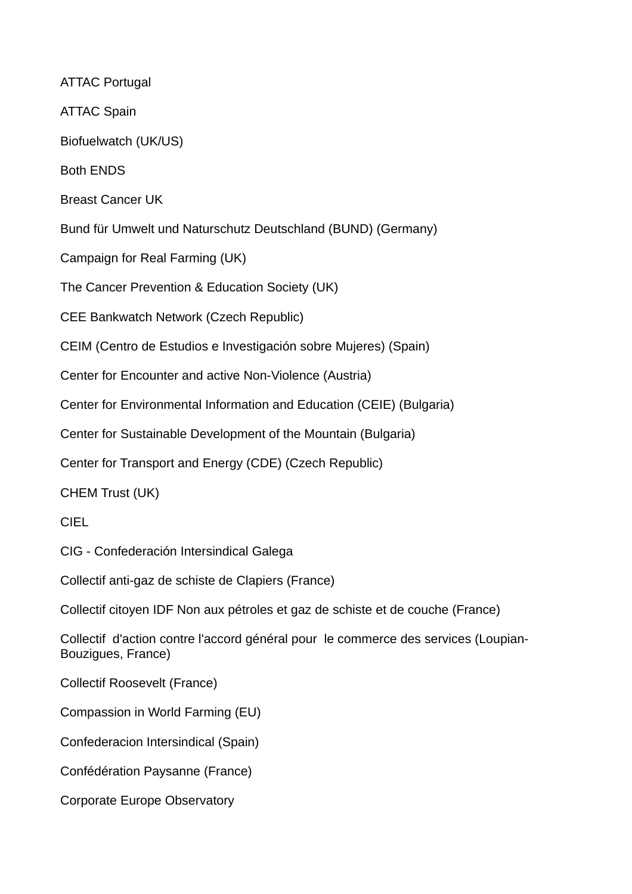ATTAC Portugal ATTAC Spain Biofuelwatch (UK/US) Both ENDS Breast Cancer UK Bund für Umwelt und Naturschutz Deutschland (BUND) (Germany) Campaign for Real Farming (UK) The Cancer Prevention & Education Society (UK) CEE Bankwatch Network (Czech Republic) CEIM (Centro de Estudios e Investigación sobre Mujeres) (Spain) Center for Encounter and active Non-Violence (Austria) Center for Environmental Information and Education (CEIE) (Bulgaria) Center for Sustainable Development of the Mountain (Bulgaria) Center for Transport and Energy (CDE) (Czech Republic) CHEM Trust (UK) CIEL CIG - Confederación Intersindical Galega Collectif anti-gaz de schiste de Clapiers (France) Collectif citoyen IDF Non aux pétroles et gaz de schiste et de couche (France) Collectif d'action contre l'accord général pour le commerce des services (Loupian-Bouzigues, France) Collectif Roosevelt (France) Compassion in World Farming (EU) Confederacion Intersindical (Spain) Confédération Paysanne (France) Corporate Europe Observatory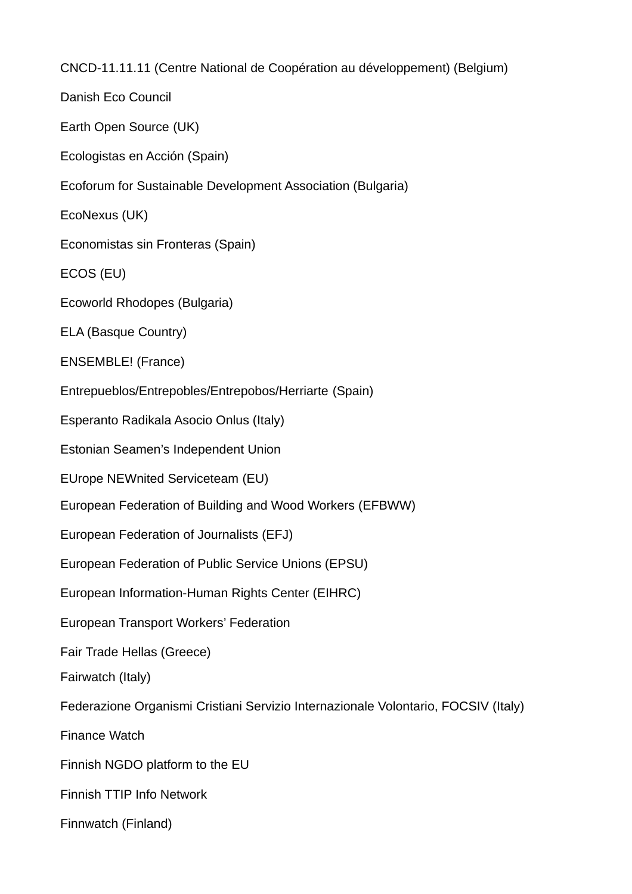CNCD-11.11.11 (Centre National de Coopération au développement) (Belgium)

Danish Eco Council

Earth Open Source (UK)

Ecologistas en Acción (Spain)

Ecoforum for Sustainable Development Association (Bulgaria)

EcoNexus (UK)

Economistas sin Fronteras (Spain)

ECOS (EU)

Ecoworld Rhodopes (Bulgaria)

ELA (Basque Country)

ENSEMBLE! (France)

Entrepueblos/Entrepobles/Entrepobos/Herriarte (Spain)

Esperanto Radikala Asocio Onlus (Italy)

Estonian Seamen's Independent Union

EUrope NEWnited Serviceteam (EU)

European Federation of Building and Wood Workers (EFBWW)

European Federation of Journalists (EFJ)

European Federation of Public Service Unions (EPSU)

European Information-Human Rights Center (EIHRC)

European Transport Workers' Federation

Fair Trade Hellas (Greece)

Fairwatch (Italy)

Federazione Organismi Cristiani Servizio Internazionale Volontario, FOCSIV (Italy)

Finance Watch

Finnish NGDO platform to the EU

Finnish TTIP Info Network

Finnwatch (Finland)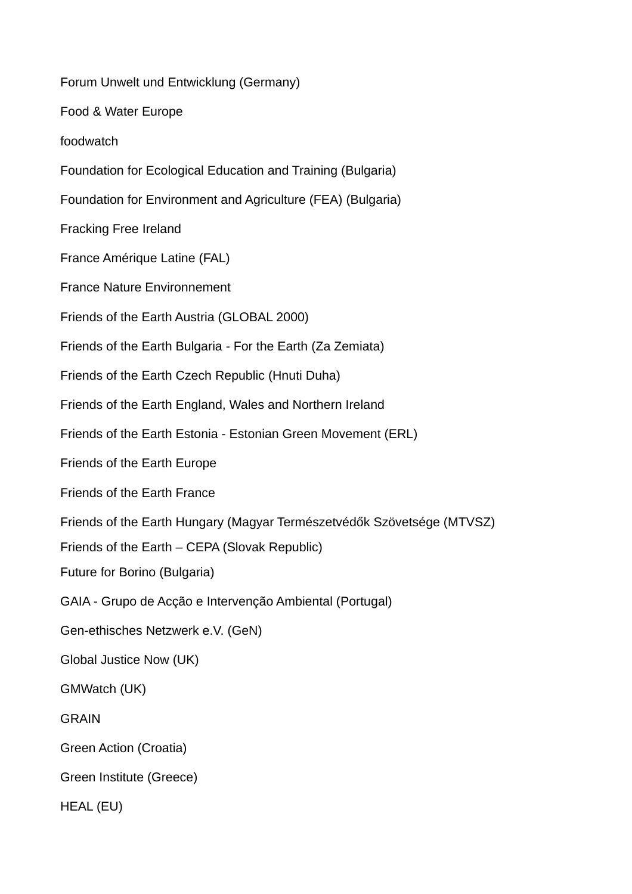Forum Unwelt und Entwicklung (Germany) Food & Water Europe foodwatch Foundation for Ecological Education and Training (Bulgaria) Foundation for Environment and Agriculture (FEA) (Bulgaria) Fracking Free Ireland France Amérique Latine (FAL) France Nature Environnement Friends of the Earth Austria (GLOBAL 2000) Friends of the Earth Bulgaria - For the Earth (Za Zemiata) Friends of the Earth Czech Republic (Hnuti Duha) Friends of the Earth England, Wales and Northern Ireland Friends of the Earth Estonia - Estonian Green Movement (ERL) Friends of the Earth Europe Friends of the Earth France Friends of the Earth Hungary (Magyar Természetvédők Szövetsége (MTVSZ) Friends of the Earth – CEPA (Slovak Republic) Future for Borino (Bulgaria) GAIA - Grupo de Acção e Intervenção Ambiental (Portugal) Gen-ethisches Netzwerk e.V. (GeN) Global Justice Now (UK) GMWatch (UK) GRAIN Green Action (Croatia) Green Institute (Greece) HEAL (EU)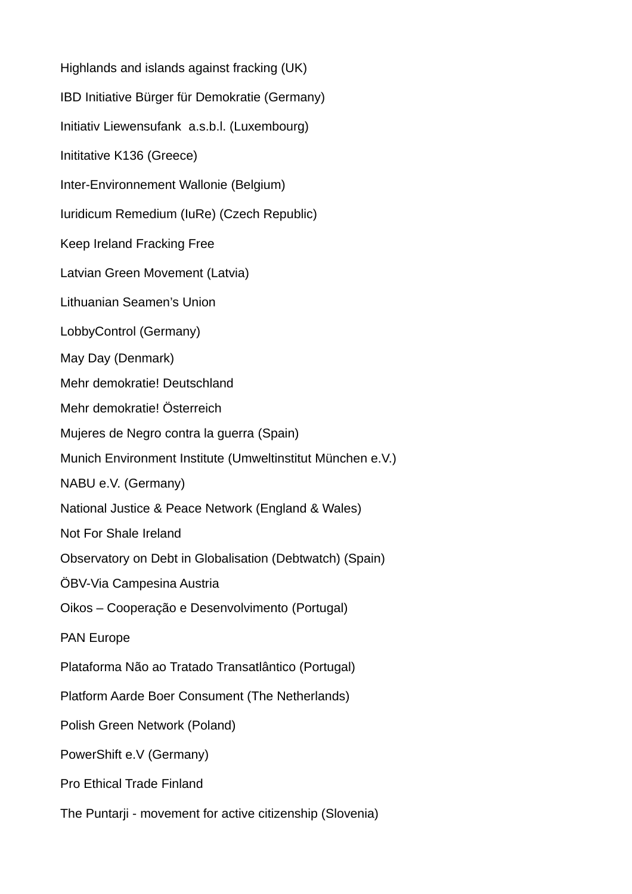Highlands and islands against fracking (UK) IBD Initiative Bürger für Demokratie (Germany) Initiativ Liewensufank a.s.b.l. (Luxembourg) Inititative K136 (Greece) Inter-Environnement Wallonie (Belgium) Iuridicum Remedium (IuRe) (Czech Republic) Keep Ireland Fracking Free Latvian Green Movement (Latvia) Lithuanian Seamen's Union LobbyControl (Germany) May Day (Denmark) Mehr demokratie! Deutschland Mehr demokratie! Österreich Mujeres de Negro contra la guerra (Spain) Munich Environment Institute (Umweltinstitut München e.V.) NABU e.V. (Germany) National Justice & Peace Network (England & Wales) Not For Shale Ireland Observatory on Debt in Globalisation (Debtwatch) (Spain) ÖBV-Via Campesina Austria Oikos – Cooperação e Desenvolvimento (Portugal) PAN Europe Plataforma Não ao Tratado Transatlântico (Portugal) Platform Aarde Boer Consument (The Netherlands) Polish Green Network (Poland) PowerShift e.V (Germany) Pro Ethical Trade Finland The Puntarji - movement for active citizenship (Slovenia)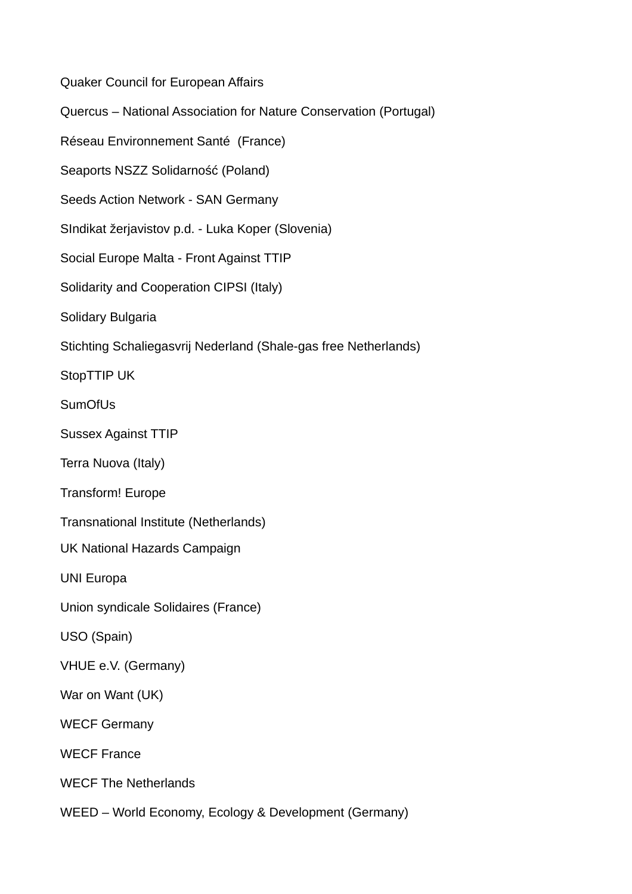Quaker Council for European Affairs

Quercus – National Association for Nature Conservation (Portugal)

Réseau Environnement Santé (France)

Seaports NSZZ Solidarność (Poland)

Seeds Action Network - SAN Germany

SIndikat žerjavistov p.d. - Luka Koper (Slovenia)

Social Europe Malta - Front Against TTIP

Solidarity and Cooperation CIPSI (Italy)

Solidary Bulgaria

Stichting Schaliegasvrij Nederland (Shale-gas free Netherlands)

StopTTIP UK

**SumOfUs** 

Sussex Against TTIP

Terra Nuova (Italy)

Transform! Europe

Transnational Institute (Netherlands)

UK National Hazards Campaign

UNI Europa

Union syndicale Solidaires (France)

USO (Spain)

VHUE e.V. (Germany)

War on Want (UK)

WECF Germany

WECF France

WECF The Netherlands

WEED – World Economy, Ecology & Development (Germany)